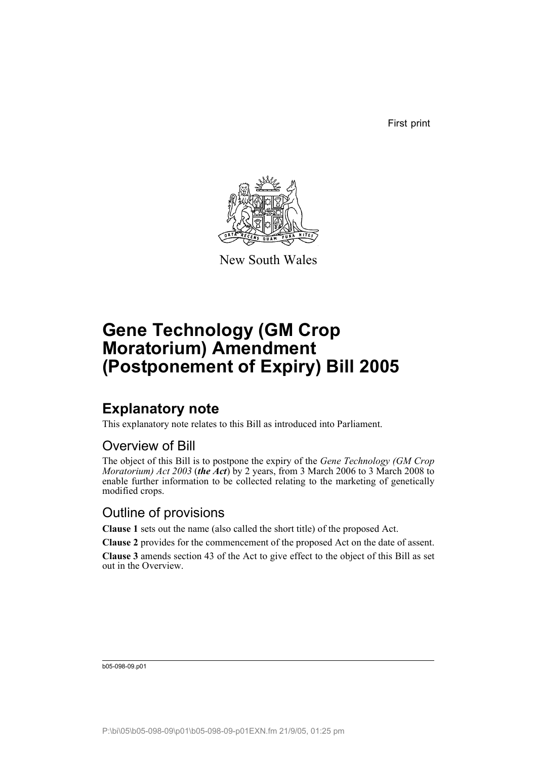First print



New South Wales

# **Gene Technology (GM Crop Moratorium) Amendment (Postponement of Expiry) Bill 2005**

## **Explanatory note**

This explanatory note relates to this Bill as introduced into Parliament.

#### Overview of Bill

The object of this Bill is to postpone the expiry of the *Gene Technology (GM Crop Moratorium) Act 2003* (*the Act*) by 2 years, from 3 March 2006 to 3 March 2008 to enable further information to be collected relating to the marketing of genetically modified crops.

#### Outline of provisions

**Clause 1** sets out the name (also called the short title) of the proposed Act.

**Clause 2** provides for the commencement of the proposed Act on the date of assent.

**Clause 3** amends section 43 of the Act to give effect to the object of this Bill as set out in the Overview.

b05-098-09.p01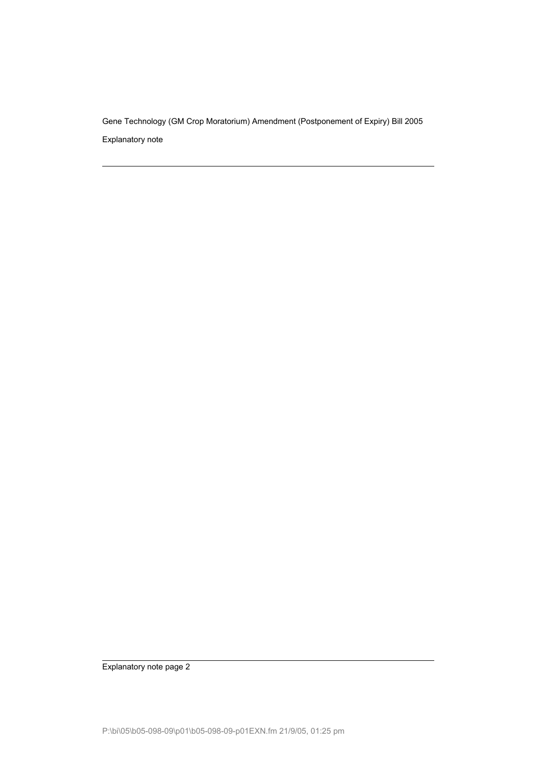Gene Technology (GM Crop Moratorium) Amendment (Postponement of Expiry) Bill 2005 Explanatory note

Explanatory note page 2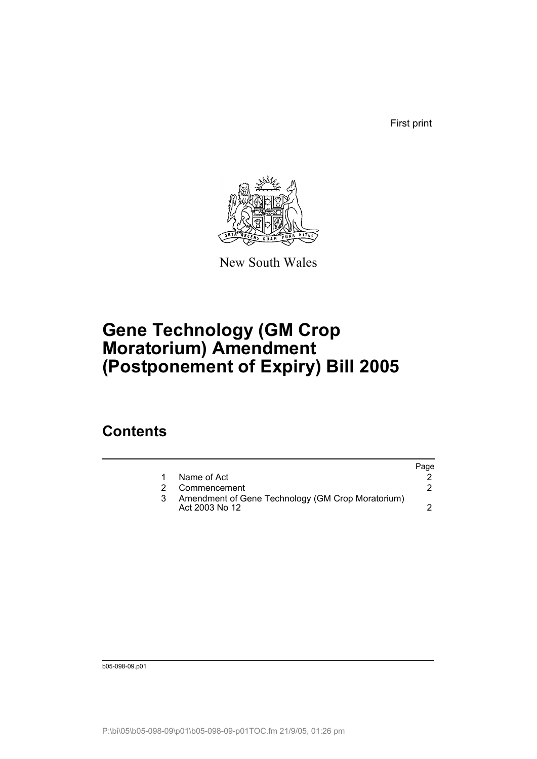First print



New South Wales

# **Gene Technology (GM Crop Moratorium) Amendment (Postponement of Expiry) Bill 2005**

### **Contents**

|               |                                                                     | Page |
|---------------|---------------------------------------------------------------------|------|
|               | Name of Act                                                         |      |
| $\mathcal{P}$ | Commencement                                                        |      |
|               | Amendment of Gene Technology (GM Crop Moratorium)<br>Act 2003 No 12 |      |

b05-098-09.p01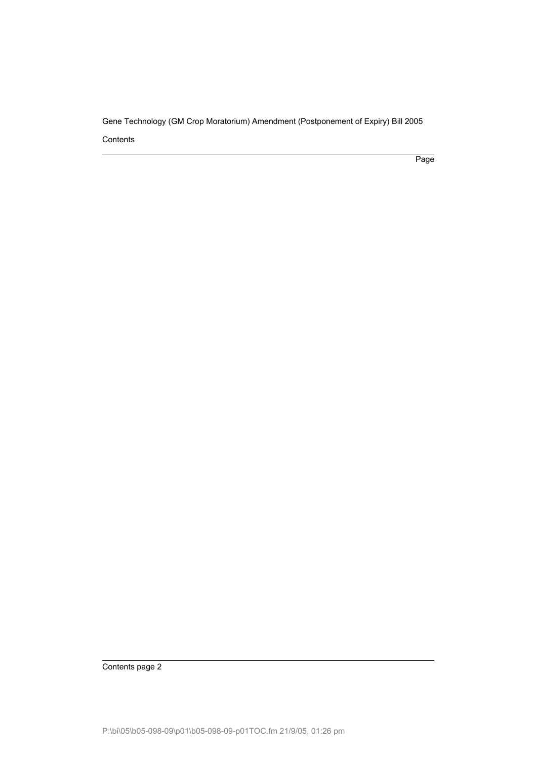Gene Technology (GM Crop Moratorium) Amendment (Postponement of Expiry) Bill 2005 Contents

Page

Contents page 2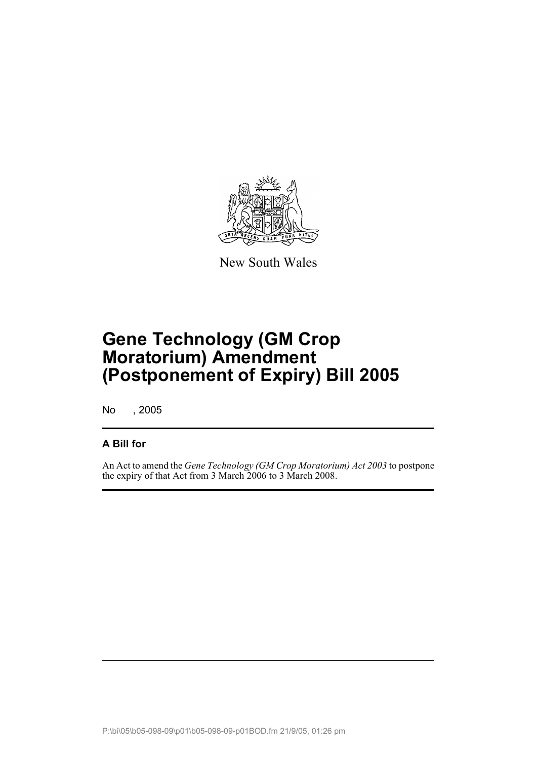

New South Wales

# **Gene Technology (GM Crop Moratorium) Amendment (Postponement of Expiry) Bill 2005**

No , 2005

#### **A Bill for**

An Act to amend the *Gene Technology (GM Crop Moratorium) Act 2003* to postpone the expiry of that Act from 3 March 2006 to 3 March 2008.